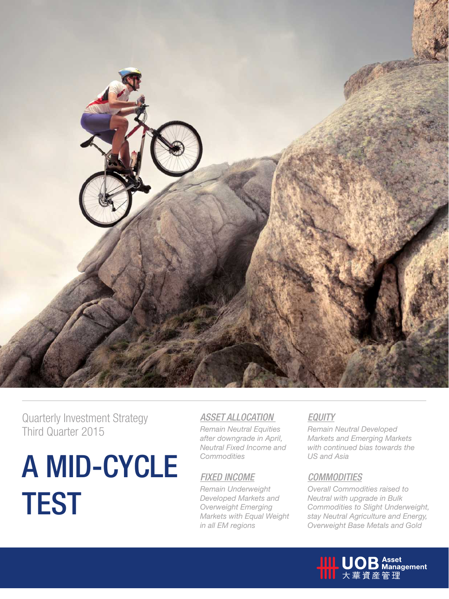

Quarterly Investment Strategy Third Quarter 2015

# A MID-CYCLE **TEST**

### *ASSET ALLOCATION*

*Remain Neutral Equities after downgrade in April, Neutral Fixed Income and Commodities*

### *FIXED INCOME*

*Remain Underweight Developed Markets and Overweight Emerging Markets with Equal Weight in all EM regions*

### *EQUITY*

*Remain Neutral Developed Markets and Emerging Markets with continued bias towards the US and Asia*

### *COMMODITIES*

*Overall Commodities raised to Neutral with upgrade in Bulk Commodities to Slight Underweight, stay Neutral Agriculture and Energy, Overweight Base Metals and Gold*

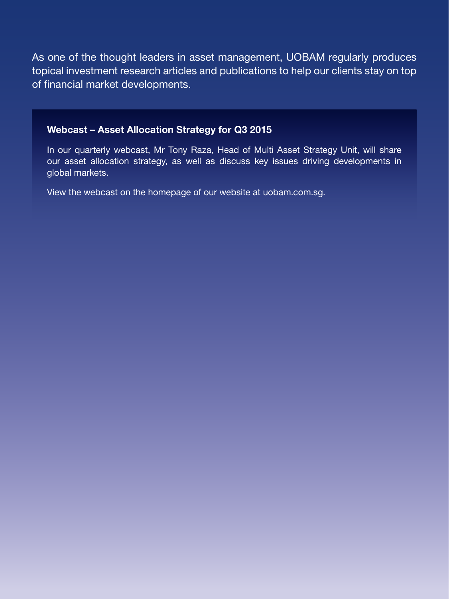As one of the thought leaders in asset management, UOBAM regularly produces topical investment research articles and publications to help our clients stay on top of financial market developments.

### Webcast – Asset Allocation Strategy for Q3 2015

In our quarterly webcast, Mr Tony Raza, Head of Multi Asset Strategy Unit, will share our asset allocation strategy, as well as discuss key issues driving developments in global markets.

View the webcast on the homepage of our website at uobam.com.sg.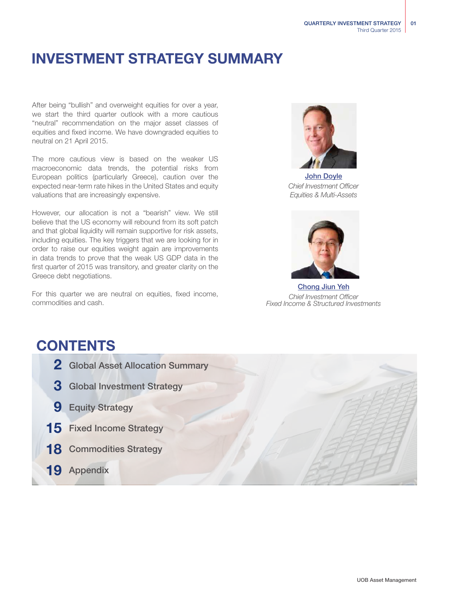## INVESTMENT STRATEGY SUMMARY

After being "bullish" and overweight equities for over a year, we start the third quarter outlook with a more cautious "neutral" recommendation on the major asset classes of equities and fixed income. We have downgraded equities to neutral on 21 April 2015.

The more cautious view is based on the weaker US macroeconomic data trends, the potential risks from European politics (particularly Greece), caution over the expected near-term rate hikes in the United States and equity valuations that are increasingly expensive.

However, our allocation is not a "bearish" view. We still believe that the US economy will rebound from its soft patch and that global liquidity will remain supportive for risk assets, including equities. The key triggers that we are looking for in order to raise our equities weight again are improvements in data trends to prove that the weak US GDP data in the first quarter of 2015 was transitory, and greater clarity on the Greece debt negotiations.

For this quarter we are neutral on equities, fixed income, commodities and cash.



John Doyle *Chief Investment Officer Equities & Multi-Assets*



Chong Jiun Yeh *Chief Investment Officer Fixed Income & Structured Investments*

## **CONTENTS**

- 2 Global Asset Allocation Summary
- 3 Global Investment Strategy
- **9** Equity Strategy
- 15 Fixed Income Strategy
- 18 Commodities Strategy
- 19 Appendix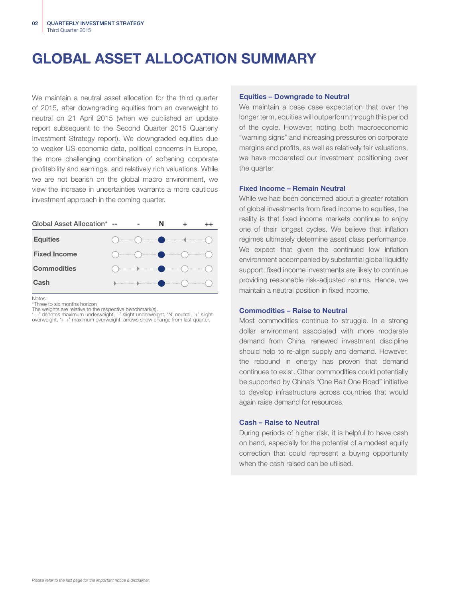## GLOBAL ASSET ALLOCATION SUMMARY

We maintain a neutral asset allocation for the third quarter of 2015, after downgrading equities from an overweight to neutral on 21 April 2015 (when we published an update report subsequent to the Second Quarter 2015 Quarterly Investment Strategy report). We downgraded equities due to weaker US economic data, political concerns in Europe, the more challenging combination of softening corporate profitability and earnings, and relatively rich valuations. While we are not bearish on the global macro environment, we view the increase in uncertainties warrants a more cautious investment approach in the coming quarter.

| Global Asset Allocation* -- |                                                                                                                                                                                                                                                                                                                                                                     | N |  |
|-----------------------------|---------------------------------------------------------------------------------------------------------------------------------------------------------------------------------------------------------------------------------------------------------------------------------------------------------------------------------------------------------------------|---|--|
| <b>Equities</b>             |                                                                                                                                                                                                                                                                                                                                                                     |   |  |
| <b>Fixed Income</b>         | $\begin{picture}(18,14) \put(0,0){\vector(1,0){100}} \put(10,0){\vector(1,0){100}} \put(10,0){\vector(1,0){100}} \put(10,0){\vector(1,0){100}} \put(10,0){\vector(1,0){100}} \put(10,0){\vector(1,0){100}} \put(10,0){\vector(1,0){100}} \put(10,0){\vector(1,0){100}} \put(10,0){\vector(1,0){100}} \put(10,0){\vector(1,0){100}} \put(10,0){\vector(1,0){100}} \$ |   |  |
| <b>Commodities</b>          |                                                                                                                                                                                                                                                                                                                                                                     |   |  |
| Cash                        | $\begin{picture}(180,10) \put(0,0){\vector(1,0){100}} \put(10,0){\vector(1,0){100}} \put(10,0){\vector(1,0){100}} \put(10,0){\vector(1,0){100}} \put(10,0){\vector(1,0){100}} \put(10,0){\vector(1,0){100}} \put(10,0){\vector(1,0){100}} \put(10,0){\vector(1,0){100}} \put(10,0){\vector(1,0){100}} \put(10,0){\vector(1,0){100}} \put(10,0){\vector(1,0){100}}$  |   |  |

**Notes** 

\*Three to six months horizon

The weights are relative to the respective benchmark(s).<br>'- -' denotes maximum underweight, '-' slight underweight, 'N' neutral, '+' slight<br>overweight, '+ +' maximum overweight; arrows show change from last quarter.

#### Equities – Downgrade to Neutral

We maintain a base case expectation that over the longer term, equities will outperform through this period of the cycle. However, noting both macroeconomic "warning signs" and increasing pressures on corporate margins and profits, as well as relatively fair valuations, we have moderated our investment positioning over the quarter.

#### Fixed Income – Remain Neutral

While we had been concerned about a greater rotation of global investments from fixed income to equities, the reality is that fixed income markets continue to enjoy one of their longest cycles. We believe that inflation regimes ultimately determine asset class performance. We expect that given the continued low inflation environment accompanied by substantial global liquidity support, fixed income investments are likely to continue providing reasonable risk-adjusted returns. Hence, we maintain a neutral position in fixed income.

#### Commodities – Raise to Neutral

Most commodities continue to struggle. In a strong dollar environment associated with more moderate demand from China, renewed investment discipline should help to re-align supply and demand. However, the rebound in energy has proven that demand continues to exist. Other commodities could potentially be supported by China's "One Belt One Road" initiative to develop infrastructure across countries that would again raise demand for resources.

#### Cash – Raise to Neutral

During periods of higher risk, it is helpful to have cash on hand, especially for the potential of a modest equity correction that could represent a buying opportunity when the cash raised can be utilised.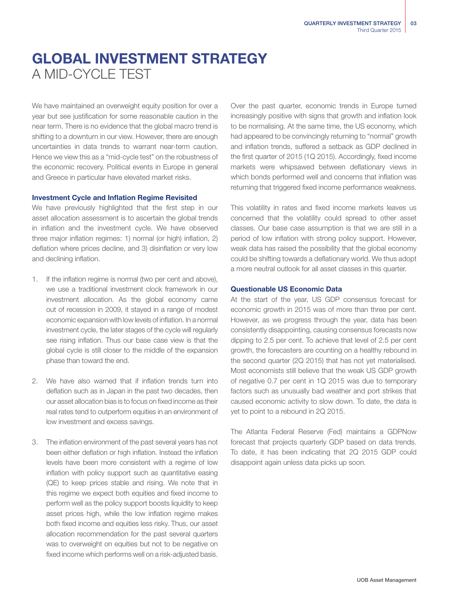## GLOBAL INVESTMENT STRATEGY A MID-CYCLE TEST

We have maintained an overweight equity position for over a year but see justification for some reasonable caution in the near term. There is no evidence that the global macro trend is shifting to a downturn in our view. However, there are enough uncertainties in data trends to warrant near-term caution. Hence we view this as a "mid-cycle test" on the robustness of the economic recovery. Political events in Europe in general and Greece in particular have elevated market risks.

#### Investment Cycle and Inflation Regime Revisited

We have previously highlighted that the first step in our asset allocation assessment is to ascertain the global trends in inflation and the investment cycle. We have observed three major inflation regimes: 1) normal (or high) inflation, 2) deflation where prices decline, and 3) disinflation or very low and declining inflation.

- 1. If the inflation regime is normal (two per cent and above), we use a traditional investment clock framework in our investment allocation. As the global economy came out of recession in 2009, it stayed in a range of modest economic expansion with low levels of inflation. In a normal investment cycle, the later stages of the cycle will regularly see rising inflation. Thus our base case view is that the global cycle is still closer to the middle of the expansion phase than toward the end.
- 2. We have also warned that if inflation trends turn into deflation such as in Japan in the past two decades, then our asset allocation bias is to focus on fixed income as their real rates tend to outperform equities in an environment of low investment and excess savings.
- 3. The inflation environment of the past several years has not been either deflation or high inflation. Instead the inflation levels have been more consistent with a regime of low inflation with policy support such as quantitative easing (QE) to keep prices stable and rising. We note that in this regime we expect both equities and fixed income to perform well as the policy support boosts liquidity to keep asset prices high, while the low inflation regime makes both fixed income and equities less risky. Thus, our asset allocation recommendation for the past several quarters was to overweight on equities but not to be negative on fixed income which performs well on a risk-adjusted basis.

Over the past quarter, economic trends in Europe turned increasingly positive with signs that growth and inflation look to be normalising. At the same time, the US economy, which had appeared to be convincingly returning to "normal" growth and inflation trends, suffered a setback as GDP declined in the first quarter of 2015 (1Q 2015). Accordingly, fixed income markets were whipsawed between deflationary views in which bonds performed well and concerns that inflation was returning that triggered fixed income performance weakness.

This volatility in rates and fixed income markets leaves us concerned that the volatility could spread to other asset classes. Our base case assumption is that we are still in a period of low inflation with strong policy support. However, weak data has raised the possibility that the global economy could be shifting towards a deflationary world. We thus adopt a more neutral outlook for all asset classes in this quarter.

#### Questionable US Economic Data

At the start of the year, US GDP consensus forecast for economic growth in 2015 was of more than three per cent. However, as we progress through the year, data has been consistently disappointing, causing consensus forecasts now dipping to 2.5 per cent. To achieve that level of 2.5 per cent growth, the forecasters are counting on a healthy rebound in the second quarter (2Q 2015) that has not yet materialised. Most economists still believe that the weak US GDP growth of negative 0.7 per cent in 1Q 2015 was due to temporary factors such as unusually bad weather and port strikes that caused economic activity to slow down. To date, the data is yet to point to a rebound in 2Q 2015.

The Atlanta Federal Reserve (Fed) maintains a GDPNow forecast that projects quarterly GDP based on data trends. To date, it has been indicating that 2Q 2015 GDP could disappoint again unless data picks up soon.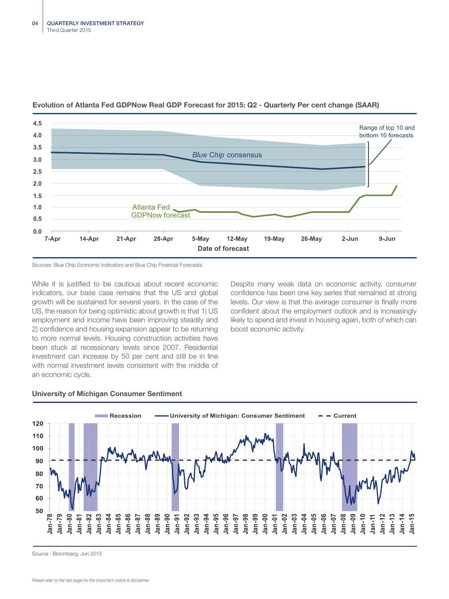

#### Evolution of Atlanta Fed GDPNow Real GDP Forecast for 2015: Q2 - Quarterly Per cent change (SAAR)

Sources: Blue Chip Economic Indicators and Blue Chip Financial Forecasts

While it is justified to be cautious about recent economic indicators, our base case remains that the US and global growth will be sustained for several years. In the case of the US, the reason for being optimistic about growth is that 1) US employment and income have been improving steadily and 2) confidence and housing expansion appear to be returning to more normal levels. Housing construction activities have been stuck at recessionary levels since 2007. Residential investment can increase by 50 per cent and still be in line with normal investment levels consistent with the middle of an economic cycle.

Despite many weak data on economic activity, consumer confidence has been one key series that remained at strong levels. Our view is that the average consumer is finally more confident about the employment outlook and is increasingly likely to spend and invest in housing again, both of which can boost economic activity.



#### University of Michigan Consumer Sentiment

Source : Bloomberg, Jun 2015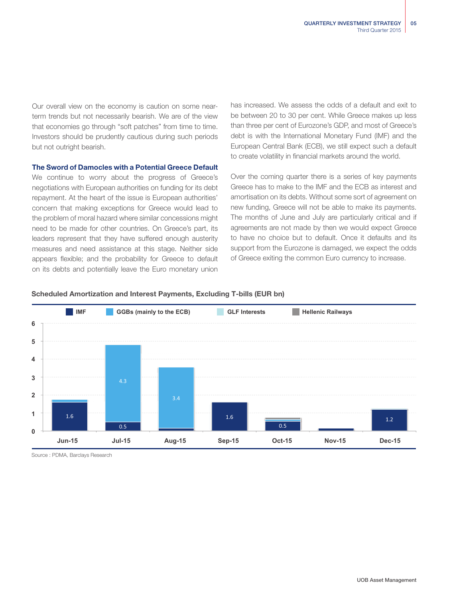Our overall view on the economy is caution on some nearterm trends but not necessarily bearish. We are of the view that economies go through "soft patches" from time to time. Investors should be prudently cautious during such periods but not outright bearish.

#### The Sword of Damocles with a Potential Greece Default

We continue to worry about the progress of Greece's negotiations with European authorities on funding for its debt repayment. At the heart of the issue is European authorities' concern that making exceptions for Greece would lead to the problem of moral hazard where similar concessions might need to be made for other countries. On Greece's part, its leaders represent that they have suffered enough austerity measures and need assistance at this stage. Neither side appears flexible; and the probability for Greece to default on its debts and potentially leave the Euro monetary union

has increased. We assess the odds of a default and exit to be between 20 to 30 per cent. While Greece makes up less than three per cent of Eurozone's GDP, and most of Greece's debt is with the International Monetary Fund (IMF) and the European Central Bank (ECB), we still expect such a default to create volatility in financial markets around the world.

Over the coming quarter there is a series of key payments Greece has to make to the IMF and the ECB as interest and amortisation on its debts. Without some sort of agreement on new funding, Greece will not be able to make its payments. The months of June and July are particularly critical and if agreements are not made by then we would expect Greece to have no choice but to default. Once it defaults and its support from the Eurozone is damaged, we expect the odds of Greece exiting the common Euro currency to increase.

#### Scheduled Amortization and Interest Payments, Excluding T-bills (EUR bn)



Source : PDMA, Barclays Research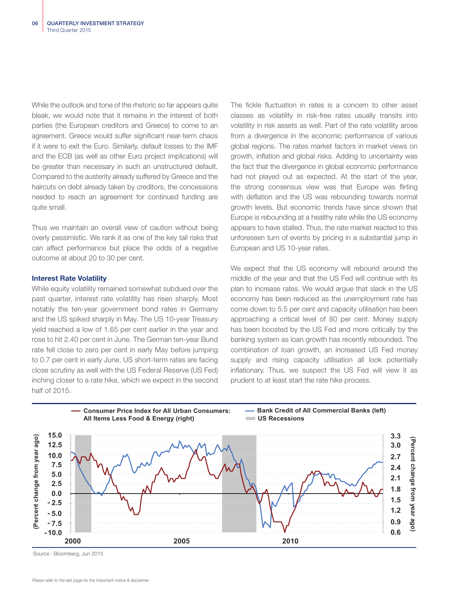While the outlook and tone of the rhetoric so far appears quite bleak, we would note that it remains in the interest of both parties (the European creditors and Greece) to come to an agreement. Greece would suffer significant near-term chaos if it were to exit the Euro. Similarly, default losses to the IMF and the ECB (as well as other Euro project implications) will be greater than necessary in such an unstructured default. Compared to the austerity already suffered by Greece and the haircuts on debt already taken by creditors, the concessions needed to reach an agreement for continued funding are quite small.

Thus we maintain an overall view of caution without being overly pessimistic. We rank it as one of the key tail risks that can affect performance but place the odds of a negative outcome at about 20 to 30 per cent.

#### Interest Rate Volatility

While equity volatility remained somewhat subdued over the past quarter, interest rate volatility has risen sharply. Most notably the ten-year government bond rates in Germany and the US spiked sharply in May. The US 10-year Treasury yield reached a low of 1.65 per cent earlier in the year and rose to hit 2.40 per cent in June. The German ten-year Bund rate fell close to zero per cent in early May before jumping to 0.7 per cent in early June. US short-term rates are facing close scrutiny as well with the US Federal Reserve (US Fed) inching closer to a rate hike, which we expect in the second half of 2015.

The fickle fluctuation in rates is a concern to other asset classes as volatility in risk-free rates usually transits into volatility in risk assets as well. Part of the rate volatility arose from a divergence in the economic performance of various global regions. The rates market factors in market views on growth, inflation and global risks. Adding to uncertainty was the fact that the divergence in global economic performance had not played out as expected. At the start of the year, the strong consensus view was that Europe was flirting with deflation and the US was rebounding towards normal growth levels. But economic trends have since shown that Europe is rebounding at a healthy rate while the US economy appears to have stalled. Thus, the rate market reacted to this unforeseen turn of events by pricing in a substantial jump in European and US 10-year rates.

We expect that the US economy will rebound around the middle of the year and that the US Fed will continue with its plan to increase rates. We would argue that slack in the US economy has been reduced as the unemployment rate has come down to 5.5 per cent and capacity utilisation has been approaching a critical level of 80 per cent. Money supply has been boosted by the US Fed and more critically by the banking system as loan growth has recently rebounded. The combination of loan growth, an increased US Fed money supply and rising capacity utilisation all look potentially inflationary. Thus, we suspect the US Fed will view it as prudent to at least start the rate hike process.



Source : Bloomberg, Jun 2015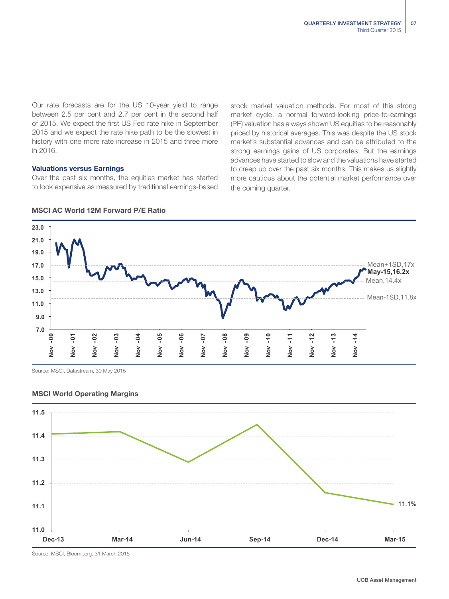Our rate forecasts are for the US 10-year yield to range between 2.5 per cent and 2.7 per cent in the second half of 2015. We expect the first US Fed rate hike in September 2015 and we expect the rate hike path to be the slowest in history with one more rate increase in 2015 and three more in 2016.

#### Valuations versus Earnings

Over the past six months, the equities market has started to look expensive as measured by traditional earnings-based stock market valuation methods. For most of this strong market cycle, a normal forward-looking price-to-earnings (PE) valuation has always shown US equities to be reasonably priced by historical averages. This was despite the US stock market's substantial advances and can be attributed to the strong earnings gains of US corporates. But the earnings advances have started to slow and the valuations have started to creep up over the past six months. This makes us slightly more cautious about the potential market performance over the coming quarter.



MSCI World Operating Margins



Source: MSCI, Bloomberg, 31 March 2015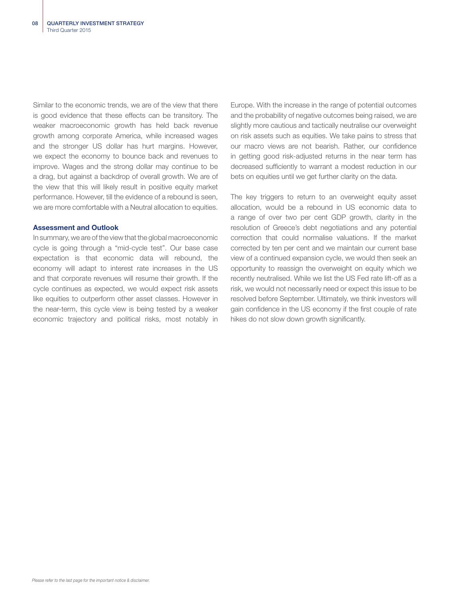Similar to the economic trends, we are of the view that there is good evidence that these effects can be transitory. The weaker macroeconomic growth has held back revenue growth among corporate America, while increased wages and the stronger US dollar has hurt margins. However, we expect the economy to bounce back and revenues to improve. Wages and the strong dollar may continue to be a drag, but against a backdrop of overall growth. We are of the view that this will likely result in positive equity market performance. However, till the evidence of a rebound is seen, we are more comfortable with a Neutral allocation to equities.

#### Assessment and Outlook

In summary, we are of the view that the global macroeconomic cycle is going through a "mid-cycle test". Our base case expectation is that economic data will rebound, the economy will adapt to interest rate increases in the US and that corporate revenues will resume their growth. If the cycle continues as expected, we would expect risk assets like equities to outperform other asset classes. However in the near-term, this cycle view is being tested by a weaker economic trajectory and political risks, most notably in Europe. With the increase in the range of potential outcomes and the probability of negative outcomes being raised, we are slightly more cautious and tactically neutralise our overweight on risk assets such as equities. We take pains to stress that our macro views are not bearish. Rather, our confidence in getting good risk-adjusted returns in the near term has decreased sufficiently to warrant a modest reduction in our bets on equities until we get further clarity on the data.

The key triggers to return to an overweight equity asset allocation, would be a rebound in US economic data to a range of over two per cent GDP growth, clarity in the resolution of Greece's debt negotiations and any potential correction that could normalise valuations. If the market corrected by ten per cent and we maintain our current base view of a continued expansion cycle, we would then seek an opportunity to reassign the overweight on equity which we recently neutralised. While we list the US Fed rate lift-off as a risk, we would not necessarily need or expect this issue to be resolved before September. Ultimately, we think investors will gain confidence in the US economy if the first couple of rate hikes do not slow down growth significantly.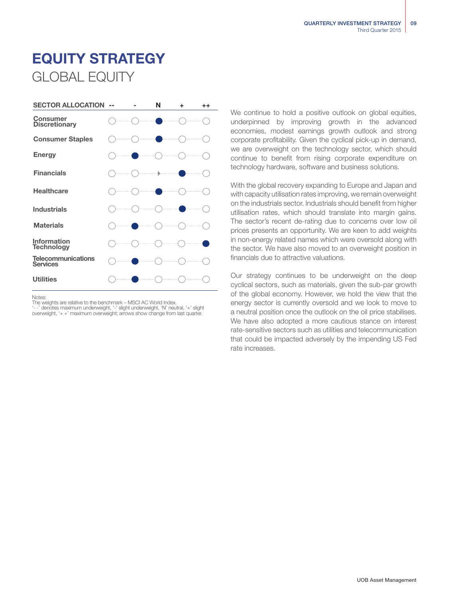## EQUITY STRATEGY GLOBAL EQUITY



Notes:

The weights are relative to the benchmark – MSCI AC World Index.<br>'- -' denotes maximum underweight, '-' slight underweight, 'N' neutral, '+' slight<br>overweight, '+ +' maximum overweight; arrows show change from last quarter

We continue to hold a positive outlook on global equities, underpinned by improving growth in the advanced economies, modest earnings growth outlook and strong corporate profitability. Given the cyclical pick-up in demand, we are overweight on the technology sector, which should continue to benefit from rising corporate expenditure on technology hardware, software and business solutions.

With the global recovery expanding to Europe and Japan and with capacity utilisation rates improving, we remain overweight on the industrials sector. Industrials should benefit from higher utilisation rates, which should translate into margin gains. The sector's recent de-rating due to concerns over low oil prices presents an opportunity. We are keen to add weights in non-energy related names which were oversold along with the sector. We have also moved to an overweight position in financials due to attractive valuations.

Our strategy continues to be underweight on the deep cyclical sectors, such as materials, given the sub-par growth of the global economy. However, we hold the view that the energy sector is currently oversold and we look to move to a neutral position once the outlook on the oil price stabilises. We have also adopted a more cautious stance on interest rate-sensitive sectors such as utilities and telecommunication that could be impacted adversely by the impending US Fed rate increases.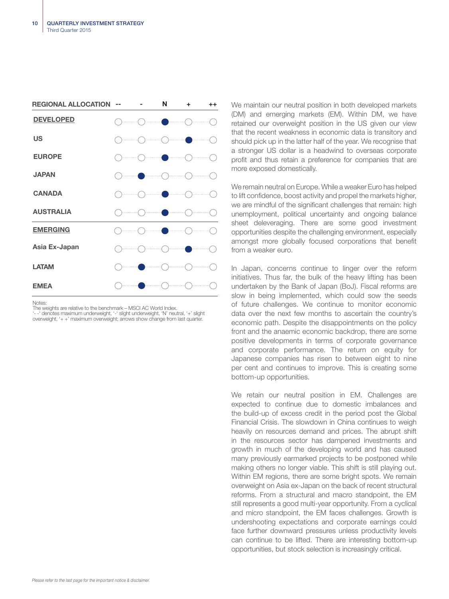

Notes:

The weights are relative to the benchmark – MSCI AC World Index.

'- -' denotes maximum underweight, '-' slight underweight, 'N' neutral, '+' slight overweight, '+ +' maximum overweight; arrows show change from last quarter.

We maintain our neutral position in both developed markets (DM) and emerging markets (EM). Within DM, we have retained our overweight position in the US given our view that the recent weakness in economic data is transitory and should pick up in the latter half of the year. We recognise that a stronger US dollar is a headwind to overseas corporate profit and thus retain a preference for companies that are more exposed domestically.

We remain neutral on Europe. While a weaker Euro has helped to lift confidence, boost activity and propel the markets higher, we are mindful of the significant challenges that remain: high unemployment, political uncertainty and ongoing balance sheet deleveraging. There are some good investment opportunities despite the challenging environment, especially amongst more globally focused corporations that benefit from a weaker euro.

In Japan, concerns continue to linger over the reform initiatives. Thus far, the bulk of the heavy lifting has been undertaken by the Bank of Japan (BoJ). Fiscal reforms are slow in being implemented, which could sow the seeds of future challenges. We continue to monitor economic data over the next few months to ascertain the country's economic path. Despite the disappointments on the policy front and the anaemic economic backdrop, there are some positive developments in terms of corporate governance and corporate performance. The return on equity for Japanese companies has risen to between eight to nine per cent and continues to improve. This is creating some bottom-up opportunities.

We retain our neutral position in EM. Challenges are expected to continue due to domestic imbalances and the build-up of excess credit in the period post the Global Financial Crisis. The slowdown in China continues to weigh heavily on resources demand and prices. The abrupt shift in the resources sector has dampened investments and growth in much of the developing world and has caused many previously earmarked projects to be postponed while making others no longer viable. This shift is still playing out. Within EM regions, there are some bright spots. We remain overweight on Asia ex-Japan on the back of recent structural reforms. From a structural and macro standpoint, the EM still represents a good multi-year opportunity. From a cyclical and micro standpoint, the EM faces challenges. Growth is undershooting expectations and corporate earnings could face further downward pressures unless productivity levels can continue to be lifted. There are interesting bottom-up opportunities, but stock selection is increasingly critical.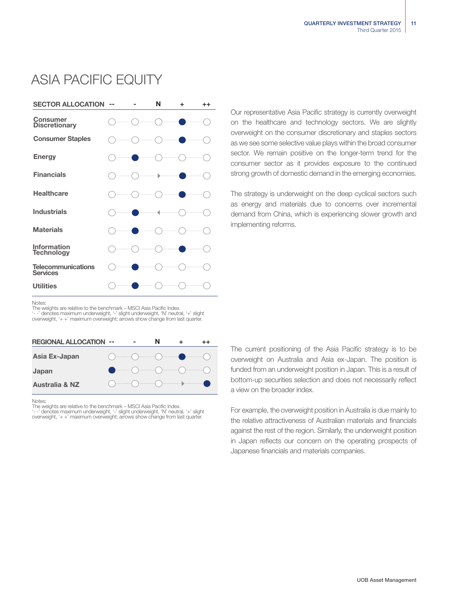## ASIA PACIFIC EQUITY



Our representative Asia Pacific strategy is currently overweight on the healthcare and technology sectors. We are slightly overweight on the consumer discretionary and staples sectors as we see some selective value plays within the broad consumer sector. We remain positive on the longer-term trend for the consumer sector as it provides exposure to the continued strong growth of domestic demand in the emerging economies.

The strategy is underweight on the deep cyclical sectors such as energy and materials due to concerns over incremental demand from China, which is experiencing slower growth and implementing reforms.

Notes:

The weights are relative to the benchmark – MSCI Asia Pacific Index. '- -' denotes maximum underweight, '-' slight underweight, 'N' neutral, '+' slight overweight, '+ +' maximum overweight; arrows show change from last quarter.



Notes:

The weights are relative to the benchmark – MSCI Asia Pacific Index.<br>'- -' denotes maximum underweight, '-' slight underweight, 'N' neutral, '+' slight<br>overweight, '+ +' maximum overweight; arrows show change from last qua

The current positioning of the Asia Pacific strategy is to be overweight on Australia and Asia ex-Japan. The position is funded from an underweight position in Japan. This is a result of bottom-up securities selection and does not necessarily reflect a view on the broader index.

For example, the overweight position in Australia is due mainly to the relative attractiveness of Australian materials and financials against the rest of the region. Similarly, the underweight position in Japan reflects our concern on the operating prospects of Japanese financials and materials companies.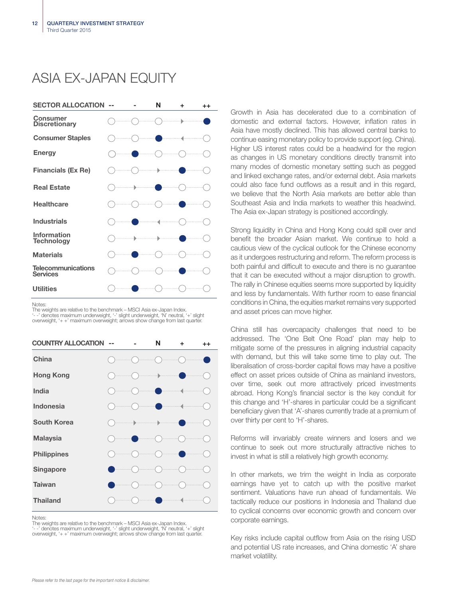## ASIA EX-JAPAN EQUITY



Notes:

The weights are relative to the benchmark – MSCI Asia ex-Japan Index. '- -' denotes maximum underweight, '-' slight underweight, 'N' neutral, '+' slight overweight, '+ +' maximum overweight; arrows show change from last quarter.

| <b>COUNTRY ALLOCATION</b> |  | N             | ÷                                                                            | $^{++}$ |
|---------------------------|--|---------------|------------------------------------------------------------------------------|---------|
| China                     |  |               |                                                                              |         |
| <b>Hong Kong</b>          |  | . ]).         |                                                                              |         |
| India                     |  |               | $\langle \hspace{-0.2em} \langle \cdot \rangle \hspace{-0.2em} \rangle$<br>. | .       |
| Indonesia                 |  |               | .                                                                            |         |
| <b>South Korea</b>        |  | $\rightarrow$ |                                                                              |         |
| <b>Malaysia</b>           |  |               |                                                                              |         |
| <b>Philippines</b>        |  |               |                                                                              |         |
| Singapore                 |  |               |                                                                              |         |
| <b>Taiwan</b>             |  |               |                                                                              |         |
| <b>Thailand</b>           |  |               |                                                                              |         |

Notes:

The weights are relative to the benchmark – MSCI Asia ex-Japan Index. '- -' denotes maximum underweight, '-' slight underweight, 'N' neutral, '+' slight overweight, '+ +' maximum overweight; arrows show change from last quarter. Growth in Asia has decelerated due to a combination of domestic and external factors. However, inflation rates in Asia have mostly declined. This has allowed central banks to continue easing monetary policy to provide support (eg. China). Higher US interest rates could be a headwind for the region as changes in US monetary conditions directly transmit into many modes of domestic monetary setting such as pegged and linked exchange rates, and/or external debt. Asia markets could also face fund outflows as a result and in this regard, we believe that the North Asia markets are better able than Southeast Asia and India markets to weather this headwind. The Asia ex-Japan strategy is positioned accordingly.

Strong liquidity in China and Hong Kong could spill over and benefit the broader Asian market. We continue to hold a cautious view of the cyclical outlook for the Chinese economy as it undergoes restructuring and reform. The reform process is both painful and difficult to execute and there is no guarantee that it can be executed without a major disruption to growth. The rally in Chinese equities seems more supported by liquidity and less by fundamentals. With further room to ease financial conditions in China, the equities market remains very supported and asset prices can move higher.

China still has overcapacity challenges that need to be addressed. The 'One Belt One Road' plan may help to mitigate some of the pressures in aligning industrial capacity with demand, but this will take some time to play out. The liberalisation of cross-border capital flows may have a positive effect on asset prices outside of China as mainland investors, over time, seek out more attractively priced investments abroad. Hong Kong's financial sector is the key conduit for this change and 'H'-shares in particular could be a significant beneficiary given that 'A'-shares currently trade at a premium of over thirty per cent to 'H'-shares.

Reforms will invariably create winners and losers and we continue to seek out more structurally attractive niches to invest in what is still a relatively high growth economy.

In other markets, we trim the weight in India as corporate earnings have yet to catch up with the positive market sentiment. Valuations have run ahead of fundamentals. We tactically reduce our positions in Indonesia and Thailand due to cyclical concerns over economic growth and concern over corporate earnings.

Key risks include capital outflow from Asia on the rising USD and potential US rate increases, and China domestic 'A' share market volatility.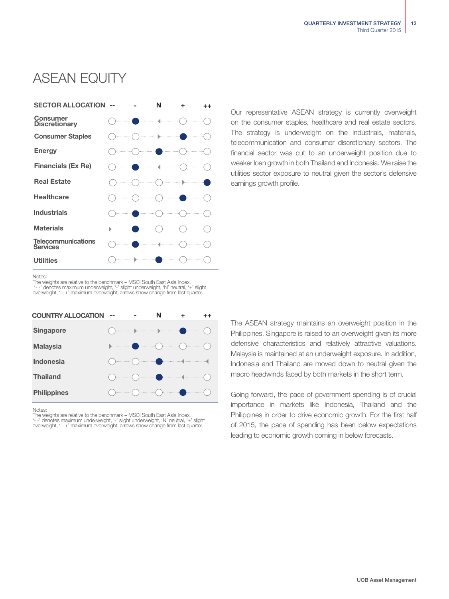## ASEAN EQUITY



Our representative ASEAN strategy is currently overweight on the consumer staples, healthcare and real estate sectors. The strategy is underweight on the industrials, materials, telecommunication and consumer discretionary sectors. The financial sector was cut to an underweight position due to weaker loan growth in both Thailand and Indonesia. We raise the utilities sector exposure to neutral given the sector's defensive earnings growth profile.

Notes:

The weights are relative to the benchmark – MSCI South East Asia Index. '- -' denotes maximum underweight, '-' slight underweight, 'N' neutral, '+' slight overweight, '+ +' maximum overweight; arrows show change from last quarter.

| <b>COUNTRY ALLOCATION</b> | -- |                                                                                                                                                                                                                                     | N   |    |  |
|---------------------------|----|-------------------------------------------------------------------------------------------------------------------------------------------------------------------------------------------------------------------------------------|-----|----|--|
| Singapore                 |    | <b>Denominal processions</b> and a second contract of the second contract of the second contract of the second contract of the second contract of the second contract of the second contract of the second contract of the second c |     |    |  |
| <b>Malaysia</b>           |    |                                                                                                                                                                                                                                     |     |    |  |
| <b>Indonesia</b>          |    |                                                                                                                                                                                                                                     | - 1 |    |  |
| <b>Thailand</b>           |    |                                                                                                                                                                                                                                     |     |    |  |
| <b>Philippines</b>        |    |                                                                                                                                                                                                                                     |     | 1. |  |

**Notes** 

The weights are relative to the benchmark – MSCI South East Asia Index. '- -' denotes maximum underweight, '-' slight underweight, 'N' neutral, '+' slight overweight, '+ +' maximum overweight; arrows show change from last quarter. The ASEAN strategy maintains an overweight position in the Philippines. Singapore is raised to an overweight given its more defensive characteristics and relatively attractive valuations. Malaysia is maintained at an underweight exposure. In addition, Indonesia and Thailand are moved down to neutral given the macro headwinds faced by both markets in the short term.

Going forward, the pace of government spending is of crucial importance in markets like Indonesia, Thailand and the Philippines in order to drive economic growth. For the first half of 2015, the pace of spending has been below expectations leading to economic growth coming in below forecasts.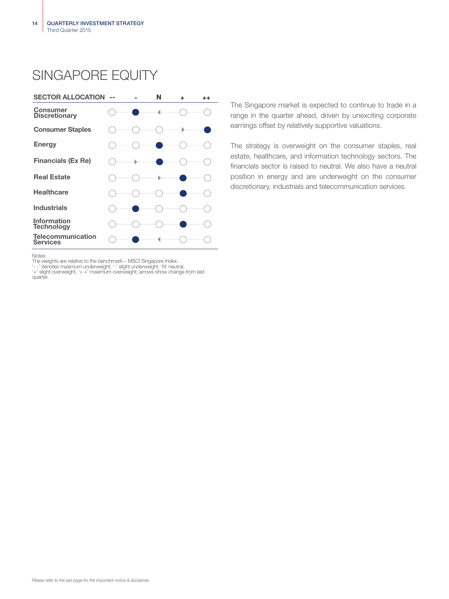## SINGAPORE EQUITY



The Singapore market is expected to continue to trade in a range in the quarter ahead, driven by unexciting corporate earnings offset by relatively supportive valuations.

The strategy is overweight on the consumer staples, real estate, healthcare, and information technology sectors. The financials sector is raised to neutral. We also have a neutral position in energy and are underweight on the consumer discretionary, industrials and telecommunication services.

Notes:

The weights are relative to the benchmark – MSCI Singapore Index.<br>'--' denotes maximum underweight, '-' slight underweight, 'N' neutral,<br>'+' slight overweight, '+ +' maximum overweight; arrows show change from last quarter.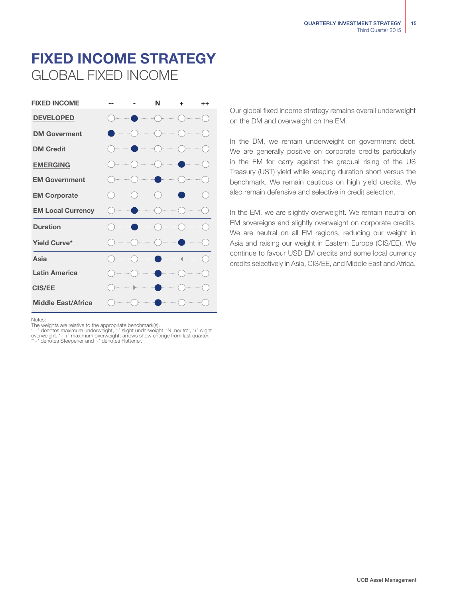## FIXED INCOME STRATEGY GLOBAL FIXED INCOME



Notes:

The weights are relative to the appropriate benchmark(s).<br>'- -' denotes maximum underweight, '--' slight underweight, 'N' neutral, '+' slight<br>overweight, '+ +' maximum overweight; arrows show change from last quarter.<br>\*'+'

Our global fixed income strategy remains overall underweight on the DM and overweight on the EM.

In the DM, we remain underweight on government debt. We are generally positive on corporate credits particularly in the EM for carry against the gradual rising of the US Treasury (UST) yield while keeping duration short versus the benchmark. We remain cautious on high yield credits. We also remain defensive and selective in credit selection.

In the EM, we are slightly overweight. We remain neutral on EM sovereigns and slightly overweight on corporate credits. We are neutral on all EM regions, reducing our weight in Asia and raising our weight in Eastern Europe (CIS/EE). We continue to favour USD EM credits and some local currency credits selectively in Asia, CIS/EE, and Middle East and Africa.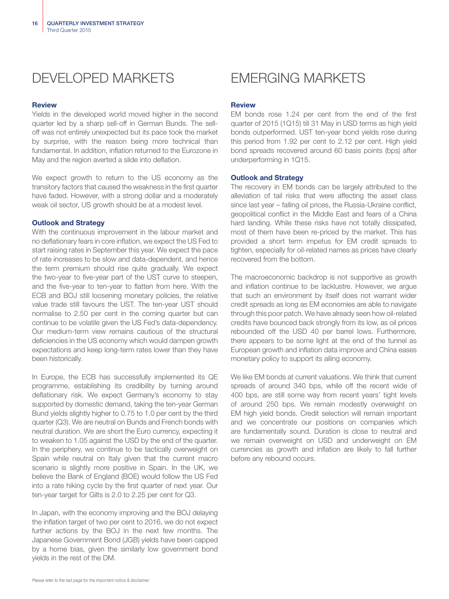

#### Review

Yields in the developed world moved higher in the second quarter led by a sharp sell-off in German Bunds. The selloff was not entirely unexpected but its pace took the market by surprise, with the reason being more technical than fundamental. In addition, inflation returned to the Eurozone in May and the region averted a slide into deflation.

We expect growth to return to the US economy as the transitory factors that caused the weakness in the first quarter have faded. However, with a strong dollar and a moderately weak oil sector, US growth should be at a modest level.

#### Outlook and Strategy

With the continuous improvement in the labour market and no deflationary fears in core inflation, we expect the US Fed to start raising rates in September this year. We expect the pace of rate increases to be slow and data-dependent, and hence the term premium should rise quite gradually. We expect the two-year to five-year part of the UST curve to steepen, and the five-year to ten-year to flatten from here. With the ECB and BOJ still loosening monetary policies, the relative value trade still favours the UST. The ten-year UST should normalise to 2.50 per cent in the coming quarter but can continue to be volatile given the US Fed's data-dependency. Our medium-term view remains cautious of the structural deficiencies in the US economy which would dampen growth expectations and keep long-term rates lower than they have been historically.

In Europe, the ECB has successfully implemented its QE programme, establishing its credibility by turning around deflationary risk. We expect Germany's economy to stay supported by domestic demand, taking the ten-year German Bund yields slightly higher to 0.75 to 1.0 per cent by the third quarter (Q3). We are neutral on Bunds and French bonds with neutral duration. We are short the Euro currency, expecting it to weaken to 1.05 against the USD by the end of the quarter. In the periphery, we continue to be tactically overweight on Spain while neutral on Italy given that the current macro scenario is slightly more positive in Spain. In the UK, we believe the Bank of England (BOE) would follow the US Fed into a rate hiking cycle by the first quarter of next year. Our ten-year target for Gilts is 2.0 to 2.25 per cent for Q3.

In Japan, with the economy improving and the BOJ delaying the inflation target of two per cent to 2016, we do not expect further actions by the BOJ in the next few months. The Japanese Government Bond (JGB) yields have been capped by a home bias, given the similarly low government bond yields in the rest of the DM.

#### Review

EM bonds rose 1.24 per cent from the end of the first quarter of 2015 (1Q15) till 31 May in USD terms as high yield bonds outperformed. UST ten-year bond yields rose during this period from 1.92 per cent to 2.12 per cent. High yield bond spreads recovered around 60 basis points (bps) after underperforming in 1Q15.

#### Outlook and Strategy

The recovery in EM bonds can be largely attributed to the alleviation of tail risks that were affecting the asset class since last year – falling oil prices, the Russia-Ukraine conflict, geopolitical conflict in the Middle East and fears of a China hard landing. While these risks have not totally dissipated, most of them have been re-priced by the market. This has provided a short term impetus for EM credit spreads to tighten, especially for oil-related names as prices have clearly recovered from the bottom.

The macroeconomic backdrop is not supportive as growth and inflation continue to be lacklustre. However, we argue that such an environment by itself does not warrant wider credit spreads as long as EM economies are able to navigate through this poor patch. We have already seen how oil-related credits have bounced back strongly from its low, as oil prices rebounded off the USD 40 per barrel lows. Furthermore, there appears to be some light at the end of the tunnel as European growth and inflation data improve and China eases monetary policy to support its ailing economy.

We like EM bonds at current valuations. We think that current spreads of around 340 bps, while off the recent wide of 400 bps, are still some way from recent years' tight levels of around 250 bps. We remain modestly overweight on EM high yield bonds. Credit selection will remain important and we concentrate our positions on companies which are fundamentally sound. Duration is close to neutral and we remain overweight on USD and underweight on EM currencies as growth and inflation are likely to fall further before any rebound occurs.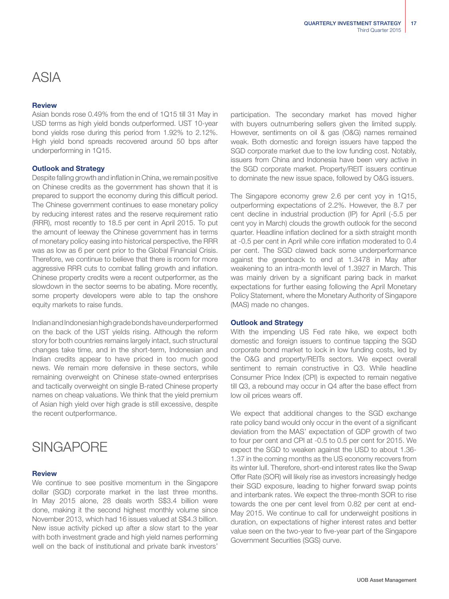## ASIA

#### Review

Asian bonds rose 0.49% from the end of 1Q15 till 31 May in USD terms as high yield bonds outperformed. UST 10-year bond yields rose during this period from 1.92% to 2.12%. High yield bond spreads recovered around 50 bps after underperforming in 1Q15.

#### Outlook and Strategy

Despite falling growth and inflation in China, we remain positive on Chinese credits as the government has shown that it is prepared to support the economy during this difficult period. The Chinese government continues to ease monetary policy by reducing interest rates and the reserve requirement ratio (RRR), most recently to 18.5 per cent in April 2015. To put the amount of leeway the Chinese government has in terms of monetary policy easing into historical perspective, the RRR was as low as 6 per cent prior to the Global Financial Crisis. Therefore, we continue to believe that there is room for more aggressive RRR cuts to combat falling growth and inflation. Chinese property credits were a recent outperformer, as the slowdown in the sector seems to be abating. More recently, some property developers were able to tap the onshore equity markets to raise funds.

Indian and Indonesian high grade bonds have underperformed on the back of the UST yields rising. Although the reform story for both countries remains largely intact, such structural changes take time, and in the short-term, Indonesian and Indian credits appear to have priced in too much good news. We remain more defensive in these sectors, while remaining overweight on Chinese state-owned enterprises and tactically overweight on single B-rated Chinese property names on cheap valuations. We think that the yield premium of Asian high yield over high grade is still excessive, despite the recent outperformance.

## **SINGAPORE**

#### Review

We continue to see positive momentum in the Singapore dollar (SGD) corporate market in the last three months. In May 2015 alone, 28 deals worth S\$3.4 billion were done, making it the second highest monthly volume since November 2013, which had 16 issues valued at S\$4.3 billion. New issue activity picked up after a slow start to the year with both investment grade and high yield names performing well on the back of institutional and private bank investors'

participation. The secondary market has moved higher with buyers outnumbering sellers given the limited supply. However, sentiments on oil & gas (O&G) names remained weak. Both domestic and foreign issuers have tapped the SGD corporate market due to the low funding cost. Notably, issuers from China and Indonesia have been very active in the SGD corporate market. Property/REIT issuers continue to dominate the new issue space, followed by O&G issuers.

The Singapore economy grew 2.6 per cent yoy in 1Q15, outperforming expectations of 2.2%. However, the 8.7 per cent decline in industrial production (IP) for April (-5.5 per cent yoy in March) clouds the growth outlook for the second quarter. Headline inflation declined for a sixth straight month at -0.5 per cent in April while core inflation moderated to 0.4 per cent. The SGD clawed back some underperformance against the greenback to end at 1.3478 in May after weakening to an intra-month level of 1.3927 in March. This was mainly driven by a significant paring back in market expectations for further easing following the April Monetary Policy Statement, where the Monetary Authority of Singapore (MAS) made no changes.

#### Outlook and Strategy

With the impending US Fed rate hike, we expect both domestic and foreign issuers to continue tapping the SGD corporate bond market to lock in low funding costs, led by the O&G and property/REITs sectors. We expect overall sentiment to remain constructive in Q3. While headline Consumer Price Index (CPI) is expected to remain negative till Q3, a rebound may occur in Q4 after the base effect from low oil prices wears off.

We expect that additional changes to the SGD exchange rate policy band would only occur in the event of a significant deviation from the MAS' expectation of GDP growth of two to four per cent and CPI at -0.5 to 0.5 per cent for 2015. We expect the SGD to weaken against the USD to about 1.36- 1.37 in the coming months as the US economy recovers from its winter lull. Therefore, short-end interest rates like the Swap Offer Rate (SOR) will likely rise as investors increasingly hedge their SGD exposure, leading to higher forward swap points and interbank rates. We expect the three-month SOR to rise towards the one per cent level from 0.82 per cent at end-May 2015. We continue to call for underweight positions in duration, on expectations of higher interest rates and better value seen on the two-year to five-year part of the Singapore Government Securities (SGS) curve.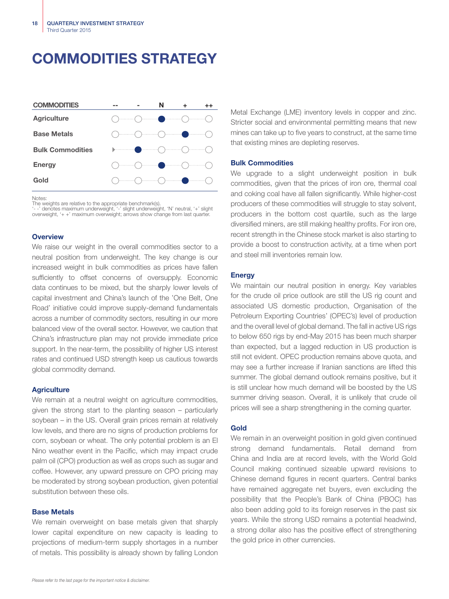## COMMODITIES STRATEGY



Notes:

The weights are relative to the appropriate benchmark(s).

'- -' denotes maximum underweight, '-' slight underweight, 'N' neutral, '+' slight overweight, '+ +' maximum overweight; arrows show change from last quarter.

#### **Overview**

We raise our weight in the overall commodities sector to a neutral position from underweight. The key change is our increased weight in bulk commodities as prices have fallen sufficiently to offset concerns of oversupply. Economic data continues to be mixed, but the sharply lower levels of capital investment and China's launch of the 'One Belt, One Road' initiative could improve supply-demand fundamentals across a number of commodity sectors, resulting in our more balanced view of the overall sector. However, we caution that China's infrastructure plan may not provide immediate price support. In the near-term, the possibility of higher US interest rates and continued USD strength keep us cautious towards global commodity demand.

#### **Agriculture**

We remain at a neutral weight on agriculture commodities, given the strong start to the planting season – particularly soybean – in the US. Overall grain prices remain at relatively low levels, and there are no signs of production problems for corn, soybean or wheat. The only potential problem is an El Nino weather event in the Pacific, which may impact crude palm oil (CPO) production as well as crops such as sugar and coffee. However, any upward pressure on CPO pricing may be moderated by strong soybean production, given potential substitution between these oils.

#### Base Metals

We remain overweight on base metals given that sharply lower capital expenditure on new capacity is leading to projections of medium-term supply shortages in a number of metals. This possibility is already shown by falling London

Metal Exchange (LME) inventory levels in copper and zinc. Stricter social and environmental permitting means that new mines can take up to five years to construct, at the same time that existing mines are depleting reserves.

#### Bulk Commodities

We upgrade to a slight underweight position in bulk commodities, given that the prices of iron ore, thermal coal and coking coal have all fallen significantly. While higher-cost producers of these commodities will struggle to stay solvent, producers in the bottom cost quartile, such as the large diversified miners, are still making healthy profits. For iron ore, recent strength in the Chinese stock market is also starting to provide a boost to construction activity, at a time when port and steel mill inventories remain low.

#### **Energy**

We maintain our neutral position in energy. Key variables for the crude oil price outlook are still the US rig count and associated US domestic production, Organisation of the Petroleum Exporting Countries' (OPEC's) level of production and the overall level of global demand. The fall in active US rigs to below 650 rigs by end-May 2015 has been much sharper than expected, but a lagged reduction in US production is still not evident. OPEC production remains above quota, and may see a further increase if Iranian sanctions are lifted this summer. The global demand outlook remains positive, but it is still unclear how much demand will be boosted by the US summer driving season. Overall, it is unlikely that crude oil prices will see a sharp strengthening in the coming quarter.

#### Gold

We remain in an overweight position in gold given continued strong demand fundamentals. Retail demand from China and India are at record levels, with the World Gold Council making continued sizeable upward revisions to Chinese demand figures in recent quarters. Central banks have remained aggregate net buyers, even excluding the possibility that the People's Bank of China (PBOC) has also been adding gold to its foreign reserves in the past six years. While the strong USD remains a potential headwind, a strong dollar also has the positive effect of strengthening the gold price in other currencies.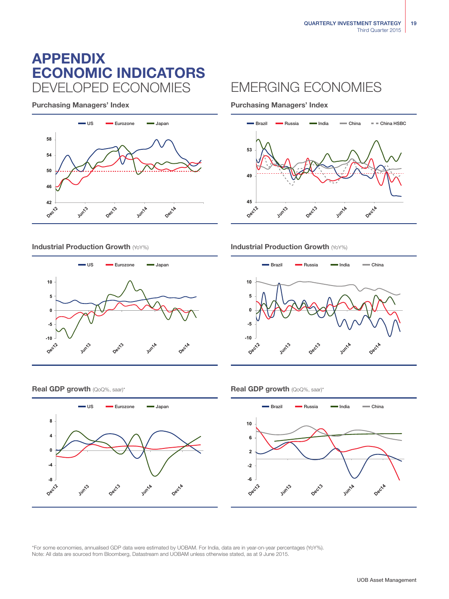## ECONOMIC INDICATORS APPENDIX DEVELOPED ECONOMIES EMERGING ECONOMIES

Purchasing Managers' Index Purchasing Managers' Index







### Industrial Production Growth (YoY%) **Industrial Production Growth (YoY%) Industrial Production Growth (YoY%)**



#### **Real GDP growth** (QoQ%, saar)\* **Real GDP growth** (QoQ%, saar)\*





\*For some economies, annualised GDP data were estimated by UOBAM. For India, data are in year-on-year percentages (YoY%). Note: All data are sourced from Bloomberg, Datastream and UOBAM unless otherwise stated, as at 9 June 2015.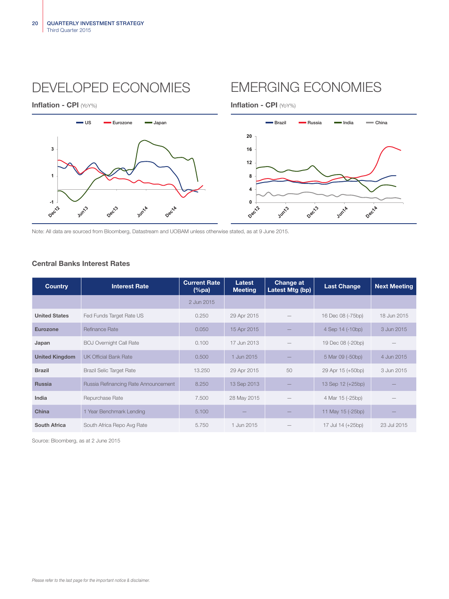DEVELOPED ECONOMIES EMERGING ECONOMIES

Inflation - CPI (YoY%) and the control of the control of the line of the line of the line of the line of the line of the line of the line of the line of the line of the line of the line of the line of the line of the line





Note: All data are sourced from Bloomberg, Datastream and UOBAM unless otherwise stated, as at 9 June 2015.

### Central Banks Interest Rates

| <b>Country</b>        | <b>Interest Rate</b>                 | <b>Current Rate</b><br>$(\%pa)$ | Latest<br><b>Meeting</b> | <b>Change at</b><br>Latest Mtg (bp) | <b>Last Change</b> | <b>Next Meeting</b> |
|-----------------------|--------------------------------------|---------------------------------|--------------------------|-------------------------------------|--------------------|---------------------|
|                       |                                      | 2 Jun 2015                      |                          |                                     |                    |                     |
| <b>United States</b>  | Fed Funds Target Rate US             | 0.250                           | 29 Apr 2015              |                                     | 16 Dec 08 (-75bp)  | 18 Jun 2015         |
| <b>Eurozone</b>       | Refinance Rate                       | 0.050                           | 15 Apr 2015              |                                     | 4 Sep 14 (-10bp)   | 3 Jun 2015          |
| Japan                 | <b>BOJ Overnight Call Rate</b>       | 0.100                           | 17 Jun 2013              |                                     | 19 Dec 08 (-20bp)  |                     |
| <b>United Kingdom</b> | <b>UK Official Bank Rate</b>         | 0.500                           | 1 Jun 2015               |                                     | 5 Mar 09 (-50bp)   | 4 Jun 2015          |
| <b>Brazil</b>         | <b>Brazil Selic Target Rate</b>      | 13.250                          | 29 Apr 2015              | 50                                  | 29 Apr 15 (+50bp)  | 3 Jun 2015          |
| <b>Russia</b>         | Russia Refinancing Rate Announcement | 8.250                           | 13 Sep 2013              |                                     | 13 Sep 12 (+25bp)  |                     |
| India                 | Repurchase Rate                      | 7.500                           | 28 May 2015              |                                     | 4 Mar 15 (-25bp)   |                     |
| China                 | 1 Year Benchmark Lending             | 5.100                           |                          |                                     | 11 May 15 (-25bp)  |                     |
| <b>South Africa</b>   | South Africa Repo Avg Rate           | 5.750                           | 1 Jun 2015               |                                     | 17 Jul 14 (+25bp)  | 23 Jul 2015         |

Source: Bloomberg, as at 2 June 2015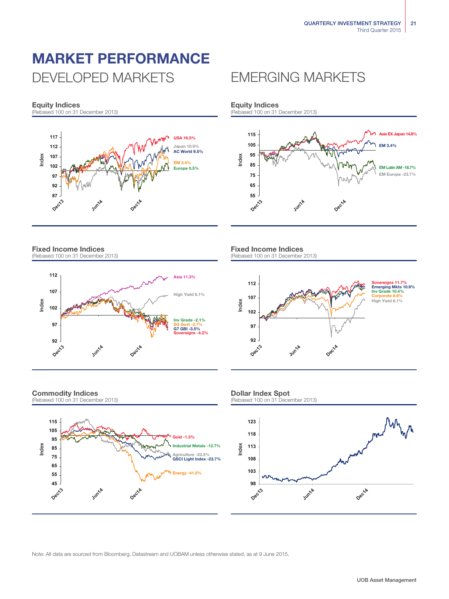## MARKET PERFORMANCE DEVELOPED MARKETS EMERGING MARKETS

### Equity Indices

(Rebased 100 on 31 December 2013)



#### Fixed Income Indices (Rebased 100 on 31 December 2013)



### Commodity Indices

(Rebased 100 on 31 December 2013)



Equity Indices<br>(Rebased 100 on 31 December 2013)



#### Fixed Income Indices (Rebased 100 on 31 December 2013)



#### Dollar Index Spot

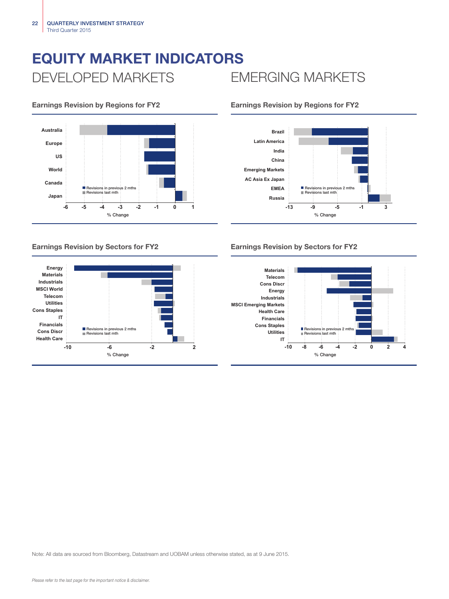## EQUITY MARKET INDICATORS DEVELOPED MARKETS EMERGING MARKETS









### Earnings Revision by Sectors for FY2 Earnings Revision by Sectors for FY2

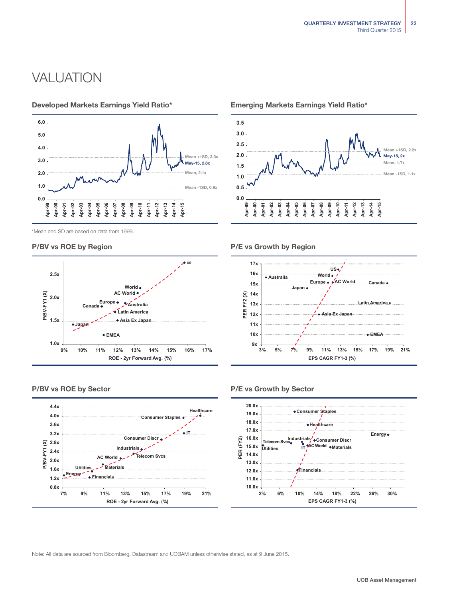## VALUATION



Developed Markets Earnings Yield Ratio\* Emerging Markets Earnings Yield Ratio\*







#### P/BV vs ROE by Region **P/E** vs Growth by Region







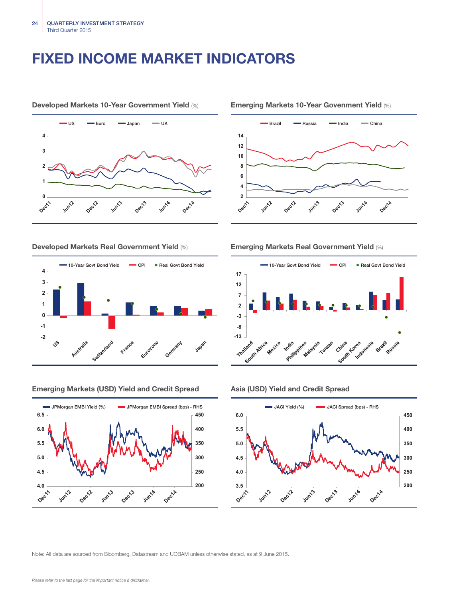## FIXED INCOME MARKET INDICATORS



#### Developed Markets 10-Year Government Yield (%) Emerging Markets 10-Year Govenment Yield (%)





#### Emerging Markets (USD) Yield and Credit Spread Asia (USD) Yield and Credit Spread



### Developed Markets Real Government Yield (%) Emerging Markets Real Government Yield (%)



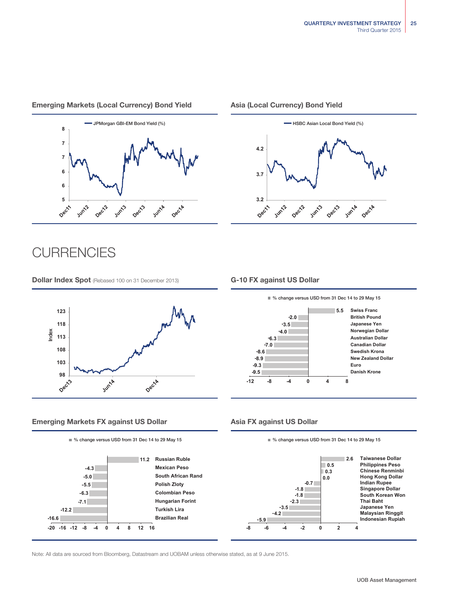#### Emerging Markets (Local Currency) Bond Yield Asia (Local Currency) Bond Yield



## **CURRENCIES**

**Dollar Index Spot** (Rebased 100 on 31 December 2013) **G-10 FX against US Dollar** 



### Emerging Markets FX against US Dollar Asia FX against US Dollar









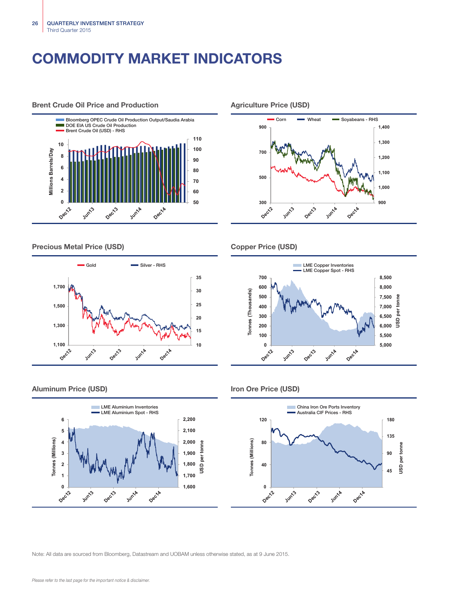## COMMODITY MARKET INDICATORS



Precious Metal Price (USD) Copper Price (USD)



#### Aluminum Price (USD) and the USD of the USD of the USD of the USD of the USD of the USD of the USD of the USD of the USD of the USD of the USD of the USD of the USD of the USD of the USD of the USD of the USD of the USD of







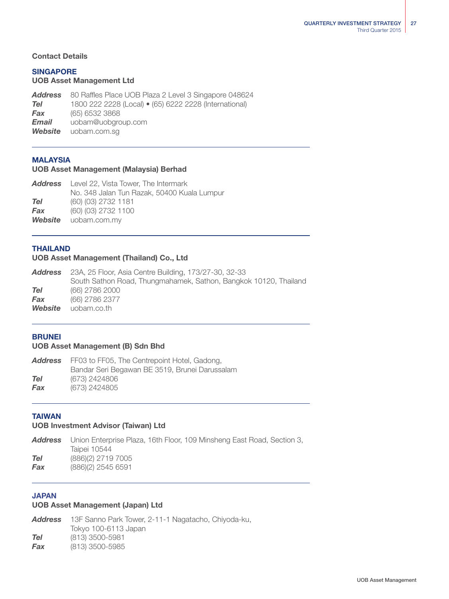### Contact Details

### SINGAPORE

### UOB Asset Management Ltd

*Address* 80 Raffles Place UOB Plaza 2 Level 3 Singapore 048624 *Tel* 1800 222 2228 (Local) • (65) 6222 2228 (International) *Fax* (65) 6532 3868 *Email* uobam@uobgroup.com *Website* uobam.com.sg

### MALAYSIA

### UOB Asset Management (Malaysia) Berhad

| <b>Address</b> Level 22, Vista Tower, The Intermark |
|-----------------------------------------------------|
| No. 348 Jalan Tun Razak, 50400 Kuala Lumpur         |
| (60) (03) 2732 1181                                 |
| (60) (03) 2732 1100                                 |
| <b>Website</b> uobam.com.my                         |
|                                                     |

#### THAILAND

#### UOB Asset Management (Thailand) Co., Ltd

|         | <b>Address</b> 23A, 25 Floor, Asia Centre Building, 173/27-30, 32-33 |
|---------|----------------------------------------------------------------------|
|         | South Sathon Road, Thungmahamek, Sathon, Bangkok 10120, Thailand     |
| Tel     | (66) 2786 2000                                                       |
| Fax     | (66) 2786 2377                                                       |
| Website | uobam.co.th                                                          |

### **BRUNEI**

### UOB Asset Management (B) Sdn Bhd

| Address | FF03 to FF05, The Centrepoint Hotel, Gadong,   |
|---------|------------------------------------------------|
|         | Bandar Seri Begawan BE 3519, Brunei Darussalam |
| Tel     | (673) 2424806                                  |
| Fax     | (673) 2424805                                  |

#### TAIWAN

### UOB Investment Advisor (Taiwan) Ltd

|     | <b>Address</b> Union Enterprise Plaza, 16th Floor, 109 Minsheng East Road, Section 3, |
|-----|---------------------------------------------------------------------------------------|
|     | Taipei 10544                                                                          |
| Tel | (886)(2) 2719 7005                                                                    |
| Fax | (886)(2) 2545 6591                                                                    |
|     |                                                                                       |

### JAPAN

#### UOB Asset Management (Japan) Ltd

*Address* 13F Sanno Park Tower, 2-11-1 Nagatacho, Chiyoda-ku, Tokyo 100-6113 Japan *Tel* (813) 3500-5981 *Fax* (813) 3500-5985